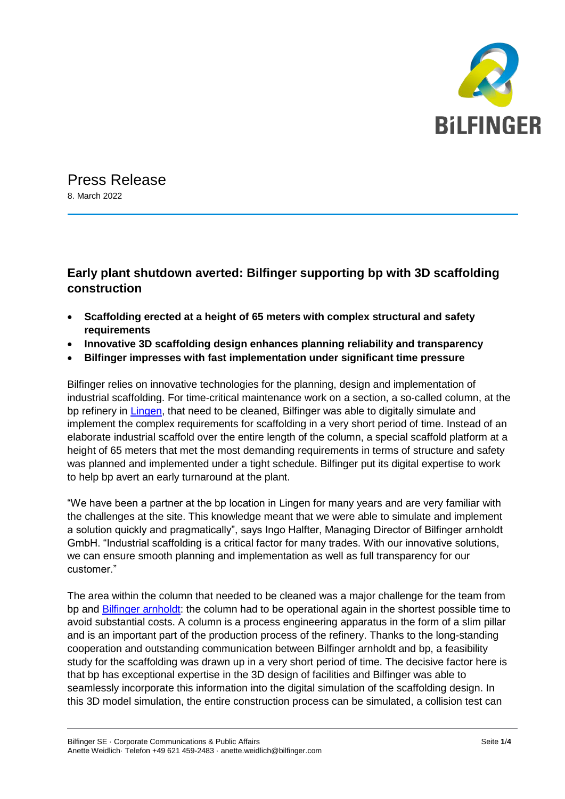

Press Release 8. March 2022

## **Early plant shutdown averted: Bilfinger supporting bp with 3D scaffolding construction**

- **Scaffolding erected at a height of 65 meters with complex structural and safety requirements**
- **Innovative 3D scaffolding design enhances planning reliability and transparency**
- **Bilfinger impresses with fast implementation under significant time pressure**

Bilfinger relies on innovative technologies for the planning, design and implementation of industrial scaffolding. For time-critical maintenance work on a section, a so-called column, at the bp refinery in [Lingen,](https://www.bp.com/de_de/germany/home/wo-wir-sind/raffinerie-lingen.html) that need to be cleaned, Bilfinger was able to digitally simulate and implement the complex requirements for scaffolding in a very short period of time. Instead of an elaborate industrial scaffold over the entire length of the column, a special scaffold platform at a height of 65 meters that met the most demanding requirements in terms of structure and safety was planned and implemented under a tight schedule. Bilfinger put its digital expertise to work to help bp avert an early turnaround at the plant.

"We have been a partner at the bp location in Lingen for many years and are very familiar with the challenges at the site. This knowledge meant that we were able to simulate and implement a solution quickly and pragmatically", says Ingo Halfter, Managing Director of Bilfinger arnholdt GmbH. "Industrial scaffolding is a critical factor for many trades. With our innovative solutions, we can ensure smooth planning and implementation as well as full transparency for our customer."

The area within the column that needed to be cleaned was a major challenge for the team from bp and [Bilfinger arnholdt:](https://www.arnholdt.bilfinger.com/) the column had to be operational again in the shortest possible time to avoid substantial costs. A column is a process engineering apparatus in the form of a slim pillar and is an important part of the production process of the refinery. Thanks to the long-standing cooperation and outstanding communication between Bilfinger arnholdt and bp, a feasibility study for the scaffolding was drawn up in a very short period of time. The decisive factor here is that bp has exceptional expertise in the 3D design of facilities and Bilfinger was able to seamlessly incorporate this information into the digital simulation of the scaffolding design. In this 3D model simulation, the entire construction process can be simulated, a collision test can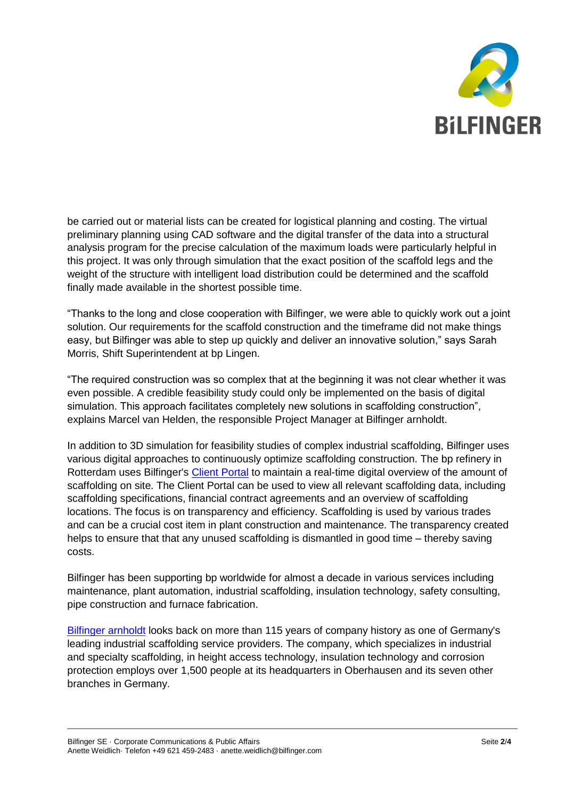

be carried out or material lists can be created for logistical planning and costing. The virtual preliminary planning using CAD software and the digital transfer of the data into a structural analysis program for the precise calculation of the maximum loads were particularly helpful in this project. It was only through simulation that the exact position of the scaffold legs and the weight of the structure with intelligent load distribution could be determined and the scaffold finally made available in the shortest possible time.

"Thanks to the long and close cooperation with Bilfinger, we were able to quickly work out a joint solution. Our requirements for the scaffold construction and the timeframe did not make things easy, but Bilfinger was able to step up quickly and deliver an innovative solution," says Sarah Morris, Shift Superintendent at bp Lingen.

"The required construction was so complex that at the beginning it was not clear whether it was even possible. A credible feasibility study could only be implemented on the basis of digital simulation. This approach facilitates completely new solutions in scaffolding construction", explains Marcel van Helden, the responsible Project Manager at Bilfinger arnholdt.

In addition to 3D simulation for feasibility studies of complex industrial scaffolding, Bilfinger uses various digital approaches to continuously optimize scaffolding construction. The bp refinery in Rotterdam uses Bilfinger's [Client Portal](https://youtu.be/Uv9G6aGqDOU) to maintain a real-time digital overview of the amount of scaffolding on site. The Client Portal can be used to view all relevant scaffolding data, including scaffolding specifications, financial contract agreements and an overview of scaffolding locations. The focus is on transparency and efficiency. Scaffolding is used by various trades and can be a crucial cost item in plant construction and maintenance. The transparency created helps to ensure that that any unused scaffolding is dismantled in good time – thereby saving costs.

Bilfinger has been supporting bp worldwide for almost a decade in various services including maintenance, plant automation, industrial scaffolding, insulation technology, safety consulting, pipe construction and furnace fabrication.

[Bilfinger arnholdt](https://www.arnholdt.bilfinger.com/) looks back on more than 115 years of company history as one of Germany's leading industrial scaffolding service providers. The company, which specializes in industrial and specialty scaffolding, in height access technology, insulation technology and corrosion protection employs over 1,500 people at its headquarters in Oberhausen and its seven other branches in Germany.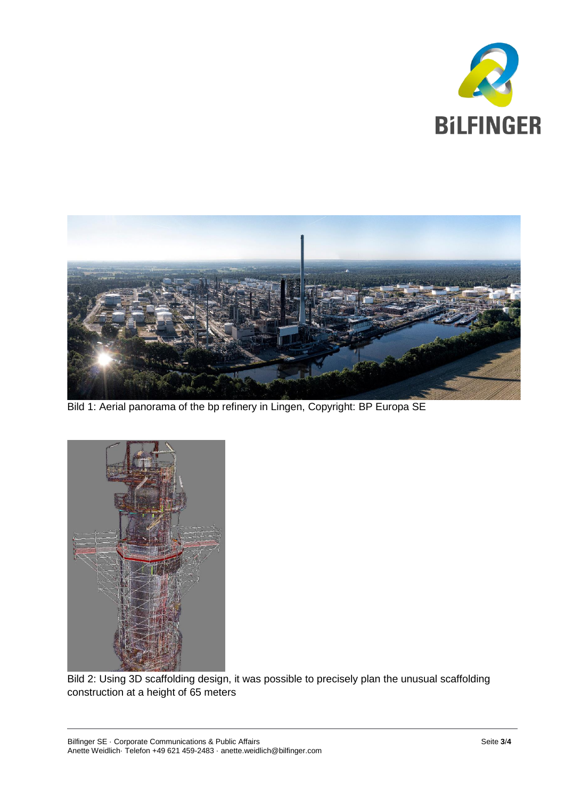



Bild 1: Aerial panorama of the bp refinery in Lingen, Copyright: BP Europa SE



Bild 2: Using 3D scaffolding design, it was possible to precisely plan the unusual scaffolding construction at a height of 65 meters